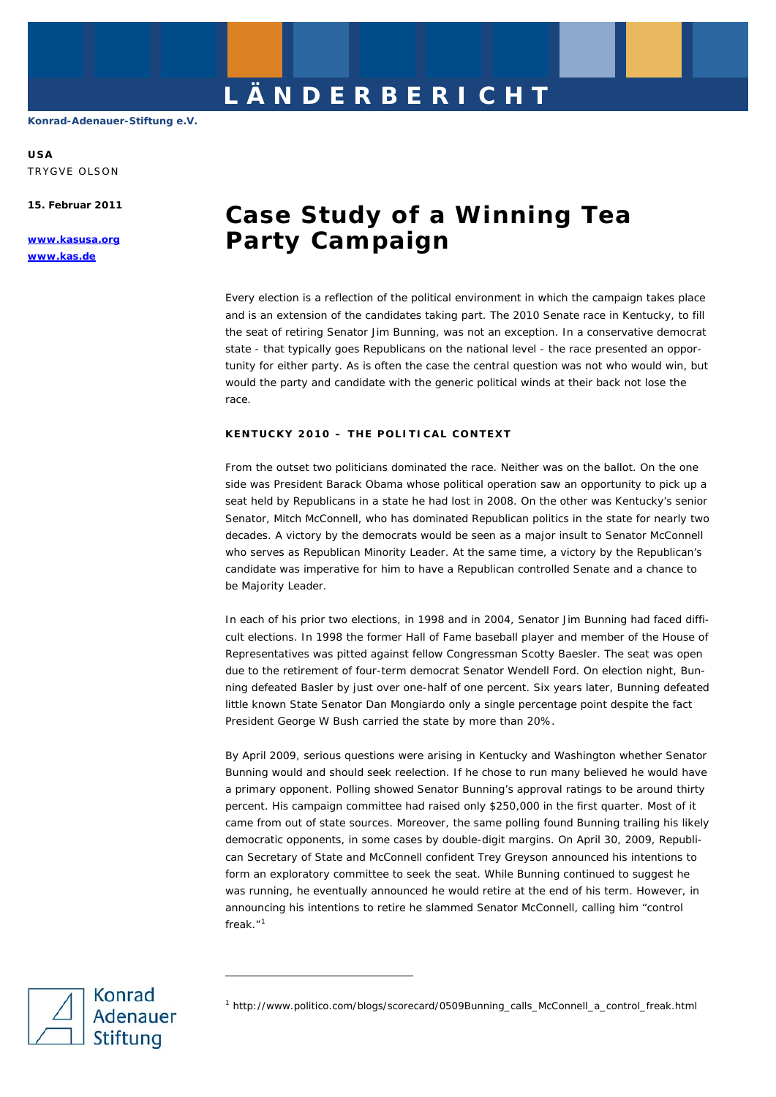**USA**  TRYGVE OLSON

**15. Februar 2011** 

**www.kasusa.org www.kas.de** 

# **Case Study of a Winning Tea Party Campaign**

Every election is a reflection of the political environment in which the campaign takes place and is an extension of the candidates taking part. The 2010 Senate race in Kentucky, to fill the seat of retiring Senator Jim Bunning, was not an exception. In a conservative democrat state - that typically goes Republicans on the national level - the race presented an opportunity for either party. As is often the case the central question was not who would win, but would the party and candidate with the generic political winds at their back not lose the race.

# **KENTUCKY 2010 – THE POLITICAL CONTEXT**

From the outset two politicians dominated the race. Neither was on the ballot. On the one side was President Barack Obama whose political operation saw an opportunity to pick up a seat held by Republicans in a state he had lost in 2008. On the other was Kentucky's senior Senator, Mitch McConnell, who has dominated Republican politics in the state for nearly two decades. A victory by the democrats would be seen as a major insult to Senator McConnell who serves as Republican Minority Leader. At the same time, a victory by the Republican's candidate was imperative for him to have a Republican controlled Senate and a chance to be Majority Leader.

In each of his prior two elections, in 1998 and in 2004, Senator Jim Bunning had faced difficult elections. In 1998 the former Hall of Fame baseball player and member of the House of Representatives was pitted against fellow Congressman Scotty Baesler. The seat was open due to the retirement of four-term democrat Senator Wendell Ford. On election night, Bunning defeated Basler by just over one-half of one percent. Six years later, Bunning defeated little known State Senator Dan Mongiardo only a single percentage point despite the fact President George W Bush carried the state by more than 20%.

By April 2009, serious questions were arising in Kentucky and Washington whether Senator Bunning would and should seek reelection. If he chose to run many believed he would have a primary opponent. Polling showed Senator Bunning's approval ratings to be around thirty percent. His campaign committee had raised only \$250,000 in the first quarter. Most of it came from out of state sources. Moreover, the same polling found Bunning trailing his likely democratic opponents, in some cases by double-digit margins. On April 30, 2009, Republican Secretary of State and McConnell confident Trey Greyson announced his intentions to form an exploratory committee to seek the seat. While Bunning continued to suggest he was running, he eventually announced he would retire at the end of his term. However, in announcing his intentions to retire he slammed Senator McConnell, calling him "control freak."<sup>[1](#page-0-0)</sup>

<span id="page-0-0"></span>

-

<sup>1</sup> http://www.politico.com/blogs/scorecard/0509Bunning\_calls\_McConnell\_a\_control\_freak.html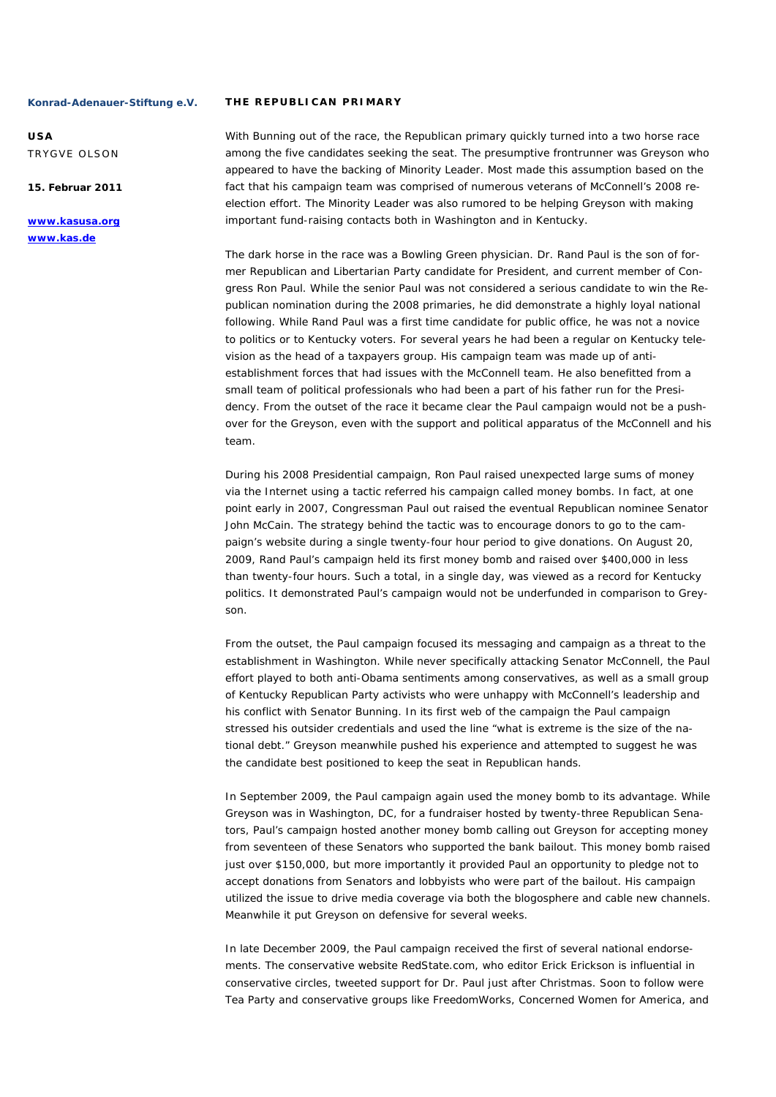**USA**  TRYGVE OLSON

**15. Februar 2011** 

**www.kasusa.org www.kas.de** 

#### **THE REPUBLICAN PRIMARY**

With Bunning out of the race, the Republican primary quickly turned into a two horse race among the five candidates seeking the seat. The presumptive frontrunner was Greyson who appeared to have the backing of Minority Leader. Most made this assumption based on the fact that his campaign team was comprised of numerous veterans of McConnell's 2008 reelection effort. The Minority Leader was also rumored to be helping Greyson with making important fund-raising contacts both in Washington and in Kentucky.

The dark horse in the race was a Bowling Green physician. Dr. Rand Paul is the son of former Republican and Libertarian Party candidate for President, and current member of Congress Ron Paul. While the senior Paul was not considered a serious candidate to win the Republican nomination during the 2008 primaries, he did demonstrate a highly loyal national following. While Rand Paul was a first time candidate for public office, he was not a novice to politics or to Kentucky voters. For several years he had been a regular on Kentucky television as the head of a taxpayers group. His campaign team was made up of antiestablishment forces that had issues with the McConnell team. He also benefitted from a small team of political professionals who had been a part of his father run for the Presidency. From the outset of the race it became clear the Paul campaign would not be a pushover for the Greyson, even with the support and political apparatus of the McConnell and his team.

During his 2008 Presidential campaign, Ron Paul raised unexpected large sums of money via the Internet using a tactic referred his campaign called money bombs. In fact, at one point early in 2007, Congressman Paul out raised the eventual Republican nominee Senator John McCain. The strategy behind the tactic was to encourage donors to go to the campaign's website during a single twenty-four hour period to give donations. On August 20, 2009, Rand Paul's campaign held its first money bomb and raised over \$400,000 in less than twenty-four hours. Such a total, in a single day, was viewed as a record for Kentucky politics. It demonstrated Paul's campaign would not be underfunded in comparison to Greyson.

From the outset, the Paul campaign focused its messaging and campaign as a threat to the establishment in Washington. While never specifically attacking Senator McConnell, the Paul effort played to both anti-Obama sentiments among conservatives, as well as a small group of Kentucky Republican Party activists who were unhappy with McConnell's leadership and his conflict with Senator Bunning. In its first web of the campaign the Paul campaign stressed his outsider credentials and used the line "what is extreme is the size of the national debt." Greyson meanwhile pushed his experience and attempted to suggest he was the candidate best positioned to keep the seat in Republican hands.

In September 2009, the Paul campaign again used the money bomb to its advantage. While Greyson was in Washington, DC, for a fundraiser hosted by twenty-three Republican Senators, Paul's campaign hosted another money bomb calling out Greyson for accepting money from seventeen of these Senators who supported the bank bailout. This money bomb raised just over \$150,000, but more importantly it provided Paul an opportunity to pledge not to accept donations from Senators and lobbyists who were part of the bailout. His campaign utilized the issue to drive media coverage via both the blogosphere and cable new channels. Meanwhile it put Greyson on defensive for several weeks.

In late December 2009, the Paul campaign received the first of several national endorsements. The conservative website RedState.com, who editor Erick Erickson is influential in conservative circles, tweeted support for Dr. Paul just after Christmas. Soon to follow were Tea Party and conservative groups like FreedomWorks, Concerned Women for America, and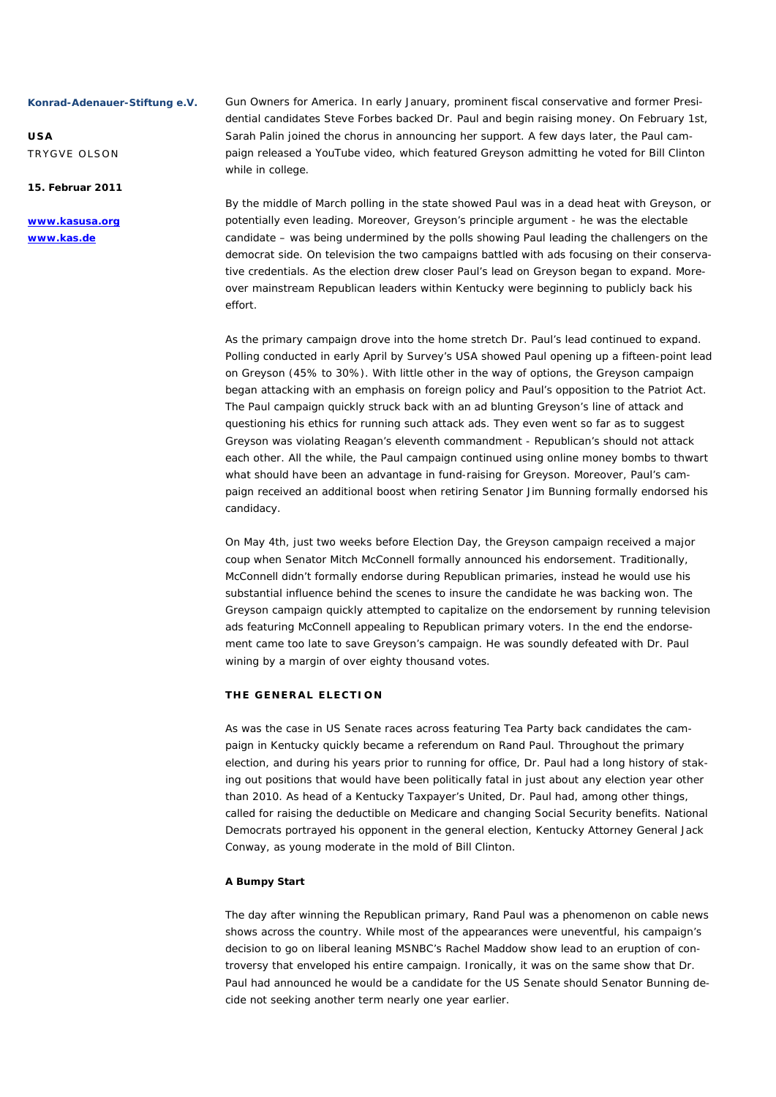**USA**  TRYGVE OLSON

# **15. Februar 2011**

**www.kasusa.org www.kas.de** 

Gun Owners for America. In early January, prominent fiscal conservative and former Presidential candidates Steve Forbes backed Dr. Paul and begin raising money. On February 1st, Sarah Palin joined the chorus in announcing her support. A few days later, the Paul campaign released a YouTube video, which featured Greyson admitting he voted for Bill Clinton while in college.

By the middle of March polling in the state showed Paul was in a dead heat with Greyson, or potentially even leading. Moreover, Greyson's principle argument - he was the electable candidate – was being undermined by the polls showing Paul leading the challengers on the democrat side. On television the two campaigns battled with ads focusing on their conservative credentials. As the election drew closer Paul's lead on Greyson began to expand. Moreover mainstream Republican leaders within Kentucky were beginning to publicly back his effort.

As the primary campaign drove into the home stretch Dr. Paul's lead continued to expand. Polling conducted in early April by Survey's USA showed Paul opening up a fifteen-point lead on Greyson (45% to 30%). With little other in the way of options, the Greyson campaign began attacking with an emphasis on foreign policy and Paul's opposition to the Patriot Act. The Paul campaign quickly struck back with an ad blunting Greyson's line of attack and questioning his ethics for running such attack ads. They even went so far as to suggest Greyson was violating Reagan's eleventh commandment - Republican's should not attack each other. All the while, the Paul campaign continued using online money bombs to thwart what should have been an advantage in fund-raising for Greyson. Moreover, Paul's campaign received an additional boost when retiring Senator Jim Bunning formally endorsed his candidacy.

On May 4th, just two weeks before Election Day, the Greyson campaign received a major coup when Senator Mitch McConnell formally announced his endorsement. Traditionally, McConnell didn't formally endorse during Republican primaries, instead he would use his substantial influence behind the scenes to insure the candidate he was backing won. The Greyson campaign quickly attempted to capitalize on the endorsement by running television ads featuring McConnell appealing to Republican primary voters. In the end the endorsement came too late to save Greyson's campaign. He was soundly defeated with Dr. Paul wining by a margin of over eighty thousand votes.

# **THE GENERAL ELECTION**

As was the case in US Senate races across featuring Tea Party back candidates the campaign in Kentucky quickly became a referendum on Rand Paul. Throughout the primary election, and during his years prior to running for office, Dr. Paul had a long history of staking out positions that would have been politically fatal in just about any election year other than 2010. As head of a Kentucky Taxpayer's United, Dr. Paul had, among other things, called for raising the deductible on Medicare and changing Social Security benefits. National Democrats portrayed his opponent in the general election, Kentucky Attorney General Jack Conway, as young moderate in the mold of Bill Clinton.

# **A Bumpy Start**

The day after winning the Republican primary, Rand Paul was a phenomenon on cable news shows across the country. While most of the appearances were uneventful, his campaign's decision to go on liberal leaning MSNBC's Rachel Maddow show lead to an eruption of controversy that enveloped his entire campaign. Ironically, it was on the same show that Dr. Paul had announced he would be a candidate for the US Senate should Senator Bunning decide not seeking another term nearly one year earlier.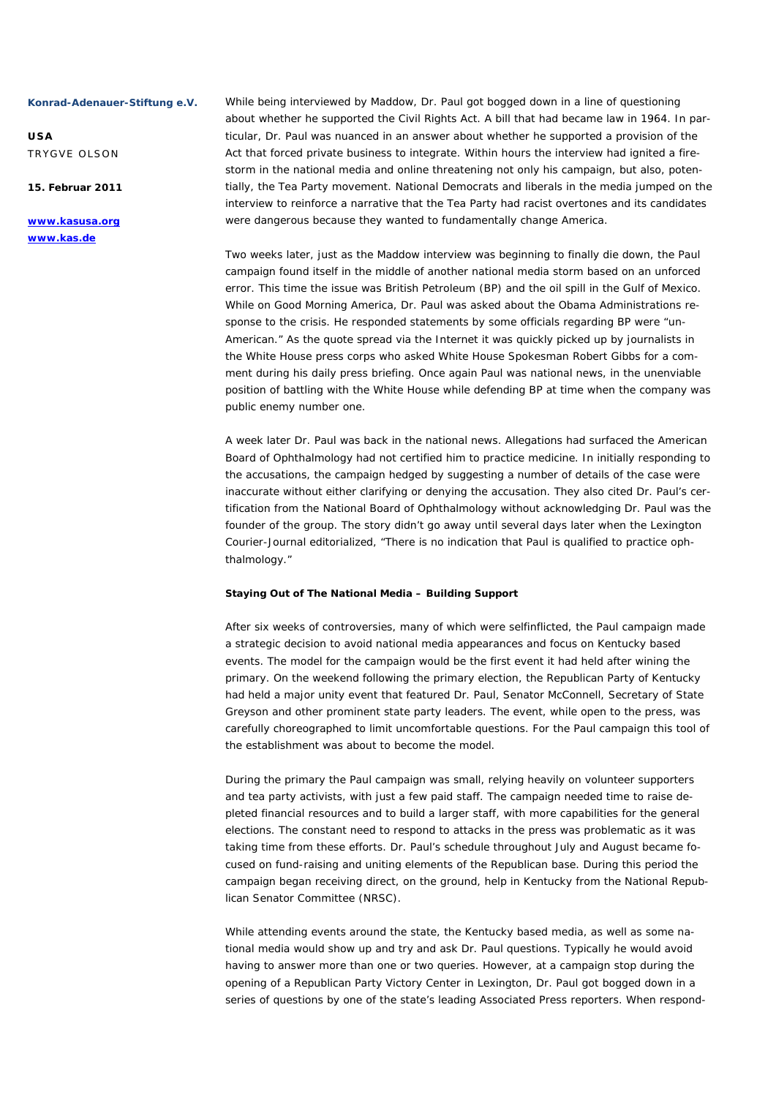**USA**  TRYGVE OLSON

**15. Februar 2011** 

**www.kasusa.org www.kas.de** 

While being interviewed by Maddow, Dr. Paul got bogged down in a line of questioning about whether he supported the Civil Rights Act. A bill that had became law in 1964. In particular, Dr. Paul was nuanced in an answer about whether he supported a provision of the Act that forced private business to integrate. Within hours the interview had ignited a firestorm in the national media and online threatening not only his campaign, but also, potentially, the Tea Party movement. National Democrats and liberals in the media jumped on the interview to reinforce a narrative that the Tea Party had racist overtones and its candidates were dangerous because they wanted to fundamentally change America.

Two weeks later, just as the Maddow interview was beginning to finally die down, the Paul campaign found itself in the middle of another national media storm based on an unforced error. This time the issue was British Petroleum (BP) and the oil spill in the Gulf of Mexico. While on Good Morning America, Dr. Paul was asked about the Obama Administrations response to the crisis. He responded statements by some officials regarding BP were "un-American." As the quote spread via the Internet it was quickly picked up by journalists in the White House press corps who asked White House Spokesman Robert Gibbs for a comment during his daily press briefing. Once again Paul was national news, in the unenviable position of battling with the White House while defending BP at time when the company was public enemy number one.

A week later Dr. Paul was back in the national news. Allegations had surfaced the American Board of Ophthalmology had not certified him to practice medicine. In initially responding to the accusations, the campaign hedged by suggesting a number of details of the case were inaccurate without either clarifying or denying the accusation. They also cited Dr. Paul's certification from the National Board of Ophthalmology without acknowledging Dr. Paul was the founder of the group. The story didn't go away until several days later when the Lexington Courier-Journal editorialized, "There is no indication that Paul is qualified to practice ophthalmology."

# **Staying Out of The National Media – Building Support**

After six weeks of controversies, many of which were selfinflicted, the Paul campaign made a strategic decision to avoid national media appearances and focus on Kentucky based events. The model for the campaign would be the first event it had held after wining the primary. On the weekend following the primary election, the Republican Party of Kentucky had held a major unity event that featured Dr. Paul, Senator McConnell, Secretary of State Greyson and other prominent state party leaders. The event, while open to the press, was carefully choreographed to limit uncomfortable questions. For the Paul campaign this tool of the establishment was about to become the model.

During the primary the Paul campaign was small, relying heavily on volunteer supporters and tea party activists, with just a few paid staff. The campaign needed time to raise depleted financial resources and to build a larger staff, with more capabilities for the general elections. The constant need to respond to attacks in the press was problematic as it was taking time from these efforts. Dr. Paul's schedule throughout July and August became focused on fund-raising and uniting elements of the Republican base. During this period the campaign began receiving direct, on the ground, help in Kentucky from the National Republican Senator Committee (NRSC).

While attending events around the state, the Kentucky based media, as well as some national media would show up and try and ask Dr. Paul questions. Typically he would avoid having to answer more than one or two queries. However, at a campaign stop during the opening of a Republican Party Victory Center in Lexington, Dr. Paul got bogged down in a series of questions by one of the state's leading Associated Press reporters. When respond-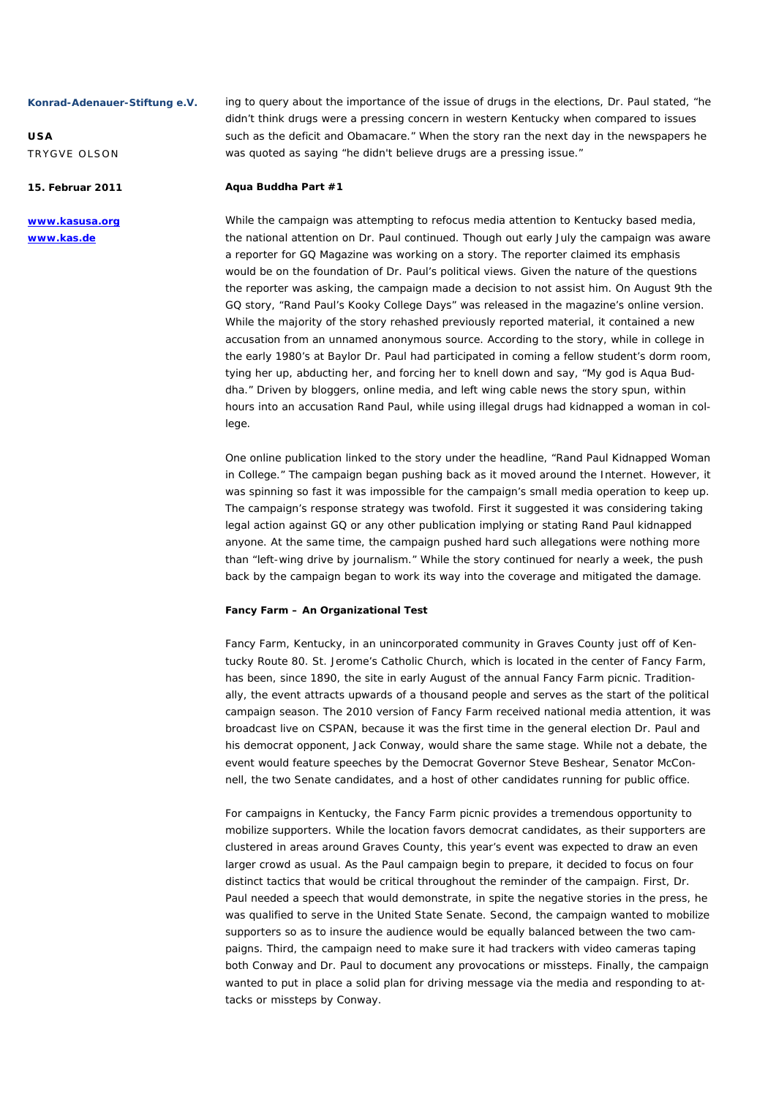**USA**  TRYGVE OLSON

**15. Februar 2011** 

**www.kasusa.org www.kas.de** 

ing to query about the importance of the issue of drugs in the elections, Dr. Paul stated, "he didn't think drugs were a pressing concern in western Kentucky when compared to issues such as the deficit and Obamacare." When the story ran the next day in the newspapers he was quoted as saying "he didn't believe drugs are a pressing issue."

#### **Aqua Buddha Part #1**

While the campaign was attempting to refocus media attention to Kentucky based media, the national attention on Dr. Paul continued. Though out early July the campaign was aware a reporter for GQ Magazine was working on a story. The reporter claimed its emphasis would be on the foundation of Dr. Paul's political views. Given the nature of the questions the reporter was asking, the campaign made a decision to not assist him. On August 9th the GQ story, "Rand Paul's Kooky College Days" was released in the magazine's online version. While the majority of the story rehashed previously reported material, it contained a new accusation from an unnamed anonymous source. According to the story, while in college in the early 1980's at Baylor Dr. Paul had participated in coming a fellow student's dorm room, tying her up, abducting her, and forcing her to knell down and say, "My god is Aqua Buddha." Driven by bloggers, online media, and left wing cable news the story spun, within hours into an accusation Rand Paul, while using illegal drugs had kidnapped a woman in college.

One online publication linked to the story under the headline, "Rand Paul Kidnapped Woman in College." The campaign began pushing back as it moved around the Internet. However, it was spinning so fast it was impossible for the campaign's small media operation to keep up. The campaign's response strategy was twofold. First it suggested it was considering taking legal action against GQ or any other publication implying or stating Rand Paul kidnapped anyone. At the same time, the campaign pushed hard such allegations were nothing more than "left-wing drive by journalism." While the story continued for nearly a week, the push back by the campaign began to work its way into the coverage and mitigated the damage.

#### **Fancy Farm – An Organizational Test**

Fancy Farm, Kentucky, in an unincorporated community in Graves County just off of Kentucky Route 80. St. Jerome's Catholic Church, which is located in the center of Fancy Farm, has been, since 1890, the site in early August of the annual Fancy Farm picnic. Traditionally, the event attracts upwards of a thousand people and serves as the start of the political campaign season. The 2010 version of Fancy Farm received national media attention, it was broadcast live on CSPAN, because it was the first time in the general election Dr. Paul and his democrat opponent, Jack Conway, would share the same stage. While not a debate, the event would feature speeches by the Democrat Governor Steve Beshear, Senator McConnell, the two Senate candidates, and a host of other candidates running for public office.

For campaigns in Kentucky, the Fancy Farm picnic provides a tremendous opportunity to mobilize supporters. While the location favors democrat candidates, as their supporters are clustered in areas around Graves County, this year's event was expected to draw an even larger crowd as usual. As the Paul campaign begin to prepare, it decided to focus on four distinct tactics that would be critical throughout the reminder of the campaign. First, Dr. Paul needed a speech that would demonstrate, in spite the negative stories in the press, he was qualified to serve in the United State Senate. Second, the campaign wanted to mobilize supporters so as to insure the audience would be equally balanced between the two campaigns. Third, the campaign need to make sure it had trackers with video cameras taping both Conway and Dr. Paul to document any provocations or missteps. Finally, the campaign wanted to put in place a solid plan for driving message via the media and responding to attacks or missteps by Conway.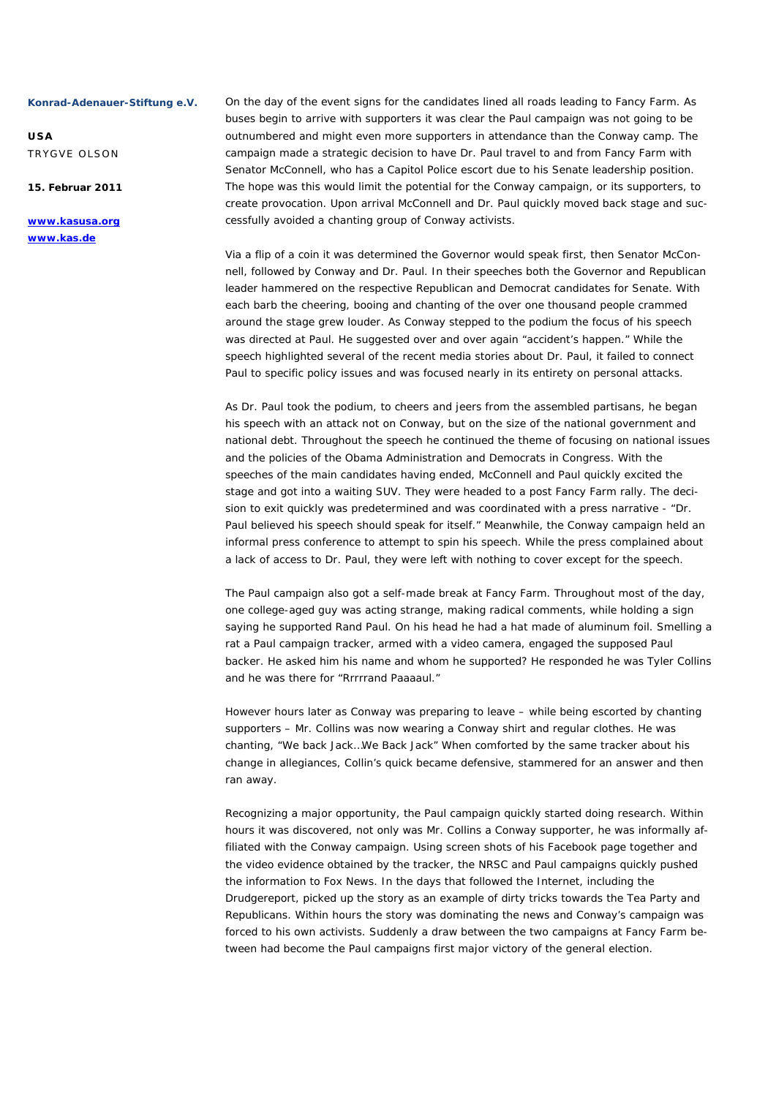**USA**  TRYGVE OLSON

**15. Februar 2011** 

**www.kasusa.org www.kas.de** 

On the day of the event signs for the candidates lined all roads leading to Fancy Farm. As buses begin to arrive with supporters it was clear the Paul campaign was not going to be outnumbered and might even more supporters in attendance than the Conway camp. The campaign made a strategic decision to have Dr. Paul travel to and from Fancy Farm with Senator McConnell, who has a Capitol Police escort due to his Senate leadership position. The hope was this would limit the potential for the Conway campaign, or its supporters, to create provocation. Upon arrival McConnell and Dr. Paul quickly moved back stage and successfully avoided a chanting group of Conway activists.

Via a flip of a coin it was determined the Governor would speak first, then Senator McConnell, followed by Conway and Dr. Paul. In their speeches both the Governor and Republican leader hammered on the respective Republican and Democrat candidates for Senate. With each barb the cheering, booing and chanting of the over one thousand people crammed around the stage grew louder. As Conway stepped to the podium the focus of his speech was directed at Paul. He suggested over and over again "accident's happen." While the speech highlighted several of the recent media stories about Dr. Paul, it failed to connect Paul to specific policy issues and was focused nearly in its entirety on personal attacks.

As Dr. Paul took the podium, to cheers and jeers from the assembled partisans, he began his speech with an attack not on Conway, but on the size of the national government and national debt. Throughout the speech he continued the theme of focusing on national issues and the policies of the Obama Administration and Democrats in Congress. With the speeches of the main candidates having ended, McConnell and Paul quickly excited the stage and got into a waiting SUV. They were headed to a post Fancy Farm rally. The decision to exit quickly was predetermined and was coordinated with a press narrative - "Dr. Paul believed his speech should speak for itself." Meanwhile, the Conway campaign held an informal press conference to attempt to spin his speech. While the press complained about a lack of access to Dr. Paul, they were left with nothing to cover except for the speech.

The Paul campaign also got a self-made break at Fancy Farm. Throughout most of the day, one college-aged guy was acting strange, making radical comments, while holding a sign saying he supported Rand Paul. On his head he had a hat made of aluminum foil. Smelling a rat a Paul campaign tracker, armed with a video camera, engaged the supposed Paul backer. He asked him his name and whom he supported? He responded he was Tyler Collins and he was there for "Rrrrrand Paaaaul."

However hours later as Conway was preparing to leave – while being escorted by chanting supporters – Mr. Collins was now wearing a Conway shirt and regular clothes. He was chanting, "We back Jack…We Back Jack" When comforted by the same tracker about his change in allegiances, Collin's quick became defensive, stammered for an answer and then ran away.

Recognizing a major opportunity, the Paul campaign quickly started doing research. Within hours it was discovered, not only was Mr. Collins a Conway supporter, he was informally affiliated with the Conway campaign. Using screen shots of his Facebook page together and the video evidence obtained by the tracker, the NRSC and Paul campaigns quickly pushed the information to Fox News. In the days that followed the Internet, including the Drudgereport, picked up the story as an example of dirty tricks towards the Tea Party and Republicans. Within hours the story was dominating the news and Conway's campaign was forced to his own activists. Suddenly a draw between the two campaigns at Fancy Farm between had become the Paul campaigns first major victory of the general election.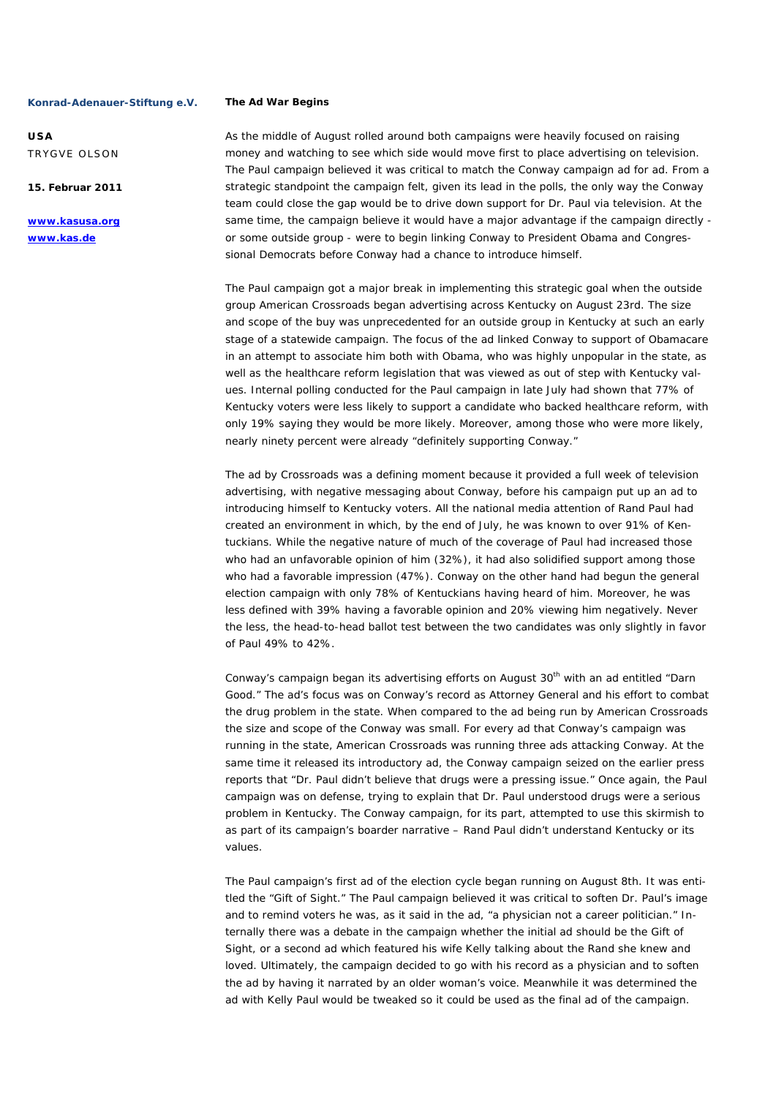**USA**  TRYGVE OLSON

**15. Februar 2011** 

**www.kasusa.org www.kas.de** 

#### **The Ad War Begins**

As the middle of August rolled around both campaigns were heavily focused on raising money and watching to see which side would move first to place advertising on television. The Paul campaign believed it was critical to match the Conway campaign ad for ad. From a strategic standpoint the campaign felt, given its lead in the polls, the only way the Conway team could close the gap would be to drive down support for Dr. Paul via television. At the same time, the campaign believe it would have a major advantage if the campaign directly or some outside group - were to begin linking Conway to President Obama and Congressional Democrats before Conway had a chance to introduce himself.

The Paul campaign got a major break in implementing this strategic goal when the outside group American Crossroads began advertising across Kentucky on August 23rd. The size and scope of the buy was unprecedented for an outside group in Kentucky at such an early stage of a statewide campaign. The focus of the ad linked Conway to support of Obamacare in an attempt to associate him both with Obama, who was highly unpopular in the state, as well as the healthcare reform legislation that was viewed as out of step with Kentucky values. Internal polling conducted for the Paul campaign in late July had shown that 77% of Kentucky voters were less likely to support a candidate who backed healthcare reform, with only 19% saying they would be more likely. Moreover, among those who were more likely, nearly ninety percent were already "definitely supporting Conway."

The ad by Crossroads was a defining moment because it provided a full week of television advertising, with negative messaging about Conway, before his campaign put up an ad to introducing himself to Kentucky voters. All the national media attention of Rand Paul had created an environment in which, by the end of July, he was known to over 91% of Kentuckians. While the negative nature of much of the coverage of Paul had increased those who had an unfavorable opinion of him (32%), it had also solidified support among those who had a favorable impression (47%). Conway on the other hand had begun the general election campaign with only 78% of Kentuckians having heard of him. Moreover, he was less defined with 39% having a favorable opinion and 20% viewing him negatively. Never the less, the head-to-head ballot test between the two candidates was only slightly in favor of Paul 49% to 42%.

Conway's campaign began its advertising efforts on August 30<sup>th</sup> with an ad entitled "Darn Good." The ad's focus was on Conway's record as Attorney General and his effort to combat the drug problem in the state. When compared to the ad being run by American Crossroads the size and scope of the Conway was small. For every ad that Conway's campaign was running in the state, American Crossroads was running three ads attacking Conway. At the same time it released its introductory ad, the Conway campaign seized on the earlier press reports that "Dr. Paul didn't believe that drugs were a pressing issue." Once again, the Paul campaign was on defense, trying to explain that Dr. Paul understood drugs were a serious problem in Kentucky. The Conway campaign, for its part, attempted to use this skirmish to as part of its campaign's boarder narrative – Rand Paul didn't understand Kentucky or its values.

The Paul campaign's first ad of the election cycle began running on August 8th. It was entitled the "Gift of Sight." The Paul campaign believed it was critical to soften Dr. Paul's image and to remind voters he was, as it said in the ad, "a physician not a career politician." Internally there was a debate in the campaign whether the initial ad should be the Gift of Sight, or a second ad which featured his wife Kelly talking about the Rand she knew and loved. Ultimately, the campaign decided to go with his record as a physician and to soften the ad by having it narrated by an older woman's voice. Meanwhile it was determined the ad with Kelly Paul would be tweaked so it could be used as the final ad of the campaign.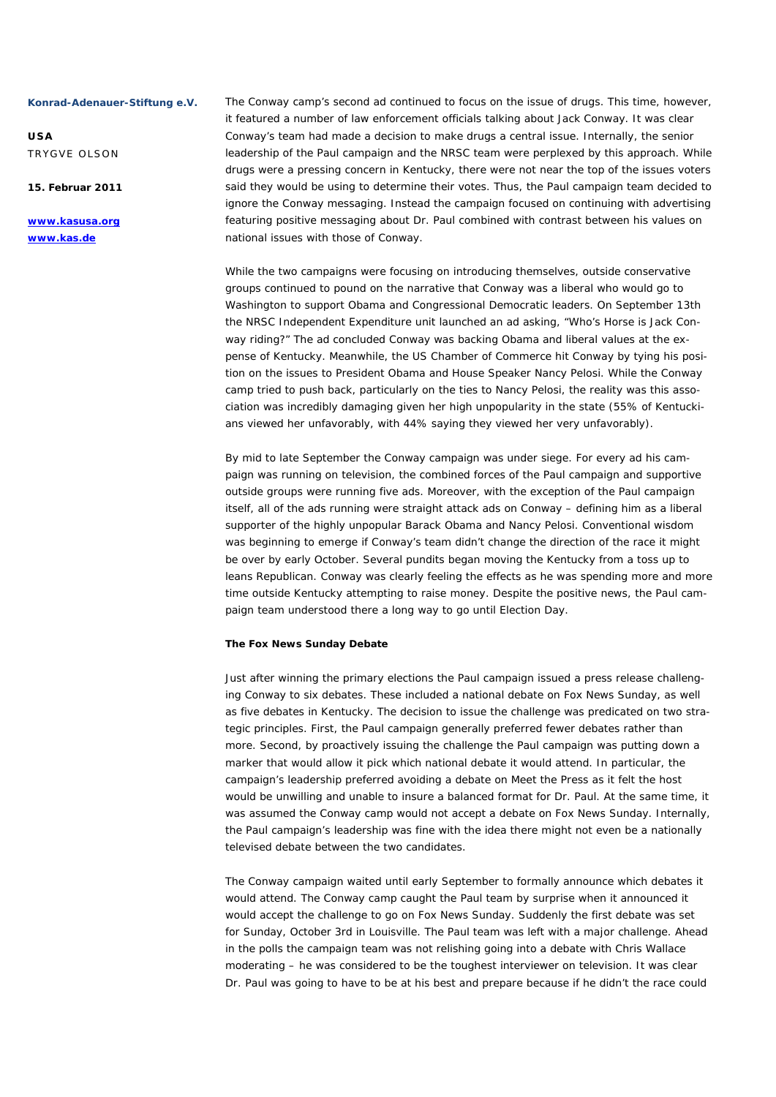**USA**  TRYGVE OLSON

**15. Februar 2011** 

**www.kasusa.org www.kas.de** 

The Conway camp's second ad continued to focus on the issue of drugs. This time, however, it featured a number of law enforcement officials talking about Jack Conway. It was clear Conway's team had made a decision to make drugs a central issue. Internally, the senior leadership of the Paul campaign and the NRSC team were perplexed by this approach. While drugs were a pressing concern in Kentucky, there were not near the top of the issues voters said they would be using to determine their votes. Thus, the Paul campaign team decided to ignore the Conway messaging. Instead the campaign focused on continuing with advertising featuring positive messaging about Dr. Paul combined with contrast between his values on national issues with those of Conway.

While the two campaigns were focusing on introducing themselves, outside conservative groups continued to pound on the narrative that Conway was a liberal who would go to Washington to support Obama and Congressional Democratic leaders. On September 13th the NRSC Independent Expenditure unit launched an ad asking, "Who's Horse is Jack Conway riding?" The ad concluded Conway was backing Obama and liberal values at the expense of Kentucky. Meanwhile, the US Chamber of Commerce hit Conway by tying his position on the issues to President Obama and House Speaker Nancy Pelosi. While the Conway camp tried to push back, particularly on the ties to Nancy Pelosi, the reality was this association was incredibly damaging given her high unpopularity in the state (55% of Kentuckians viewed her unfavorably, with 44% saying they viewed her very unfavorably).

By mid to late September the Conway campaign was under siege. For every ad his campaign was running on television, the combined forces of the Paul campaign and supportive outside groups were running five ads. Moreover, with the exception of the Paul campaign itself, all of the ads running were straight attack ads on Conway – defining him as a liberal supporter of the highly unpopular Barack Obama and Nancy Pelosi. Conventional wisdom was beginning to emerge if Conway's team didn't change the direction of the race it might be over by early October. Several pundits began moving the Kentucky from a toss up to leans Republican. Conway was clearly feeling the effects as he was spending more and more time outside Kentucky attempting to raise money. Despite the positive news, the Paul campaign team understood there a long way to go until Election Day.

#### **The Fox News Sunday Debate**

Just after winning the primary elections the Paul campaign issued a press release challenging Conway to six debates. These included a national debate on Fox News Sunday, as well as five debates in Kentucky. The decision to issue the challenge was predicated on two strategic principles. First, the Paul campaign generally preferred fewer debates rather than more. Second, by proactively issuing the challenge the Paul campaign was putting down a marker that would allow it pick which national debate it would attend. In particular, the campaign's leadership preferred avoiding a debate on Meet the Press as it felt the host would be unwilling and unable to insure a balanced format for Dr. Paul. At the same time, it was assumed the Conway camp would not accept a debate on Fox News Sunday. Internally, the Paul campaign's leadership was fine with the idea there might not even be a nationally televised debate between the two candidates.

The Conway campaign waited until early September to formally announce which debates it would attend. The Conway camp caught the Paul team by surprise when it announced it would accept the challenge to go on Fox News Sunday. Suddenly the first debate was set for Sunday, October 3rd in Louisville. The Paul team was left with a major challenge. Ahead in the polls the campaign team was not relishing going into a debate with Chris Wallace moderating – he was considered to be the toughest interviewer on television. It was clear Dr. Paul was going to have to be at his best and prepare because if he didn't the race could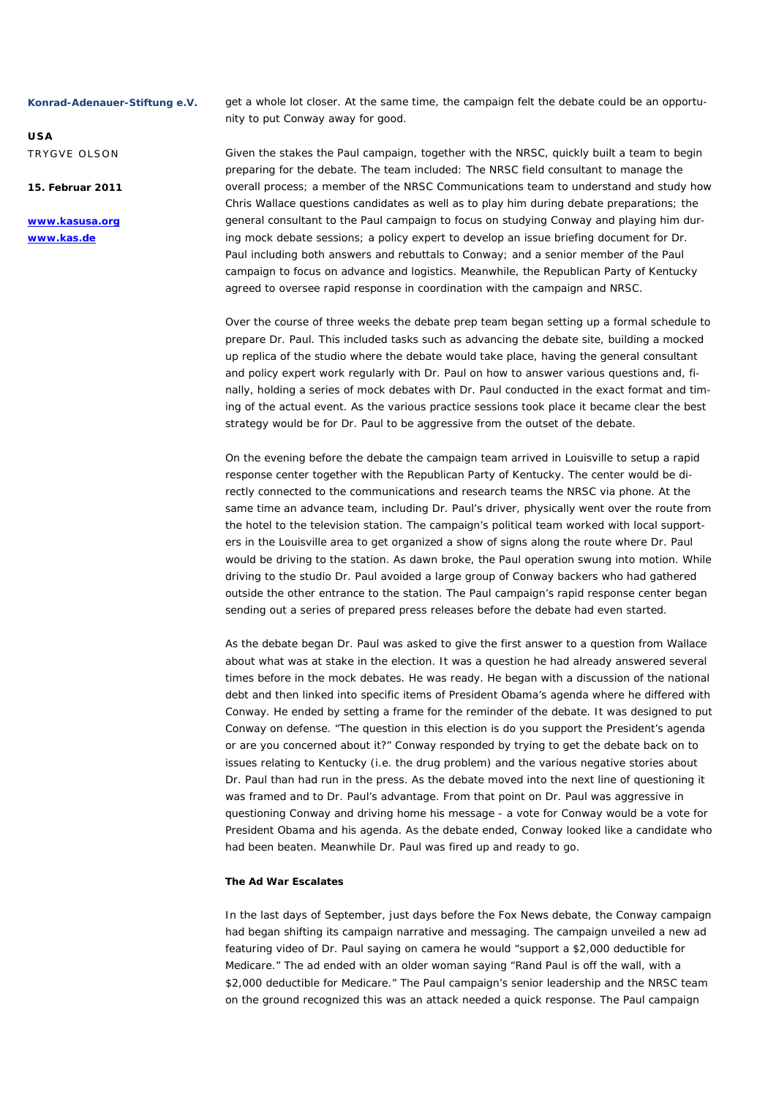**USA**  TRYGVE OLSON

**15. Februar 2011** 

**www.kasusa.org www.kas.de** 

get a whole lot closer. At the same time, the campaign felt the debate could be an opportunity to put Conway away for good.

Given the stakes the Paul campaign, together with the NRSC, quickly built a team to begin preparing for the debate. The team included: The NRSC field consultant to manage the overall process; a member of the NRSC Communications team to understand and study how Chris Wallace questions candidates as well as to play him during debate preparations; the general consultant to the Paul campaign to focus on studying Conway and playing him during mock debate sessions; a policy expert to develop an issue briefing document for Dr. Paul including both answers and rebuttals to Conway; and a senior member of the Paul campaign to focus on advance and logistics. Meanwhile, the Republican Party of Kentucky agreed to oversee rapid response in coordination with the campaign and NRSC.

Over the course of three weeks the debate prep team began setting up a formal schedule to prepare Dr. Paul. This included tasks such as advancing the debate site, building a mocked up replica of the studio where the debate would take place, having the general consultant and policy expert work regularly with Dr. Paul on how to answer various questions and, finally, holding a series of mock debates with Dr. Paul conducted in the exact format and timing of the actual event. As the various practice sessions took place it became clear the best strategy would be for Dr. Paul to be aggressive from the outset of the debate.

On the evening before the debate the campaign team arrived in Louisville to setup a rapid response center together with the Republican Party of Kentucky. The center would be directly connected to the communications and research teams the NRSC via phone. At the same time an advance team, including Dr. Paul's driver, physically went over the route from the hotel to the television station. The campaign's political team worked with local supporters in the Louisville area to get organized a show of signs along the route where Dr. Paul would be driving to the station. As dawn broke, the Paul operation swung into motion. While driving to the studio Dr. Paul avoided a large group of Conway backers who had gathered outside the other entrance to the station. The Paul campaign's rapid response center began sending out a series of prepared press releases before the debate had even started.

As the debate began Dr. Paul was asked to give the first answer to a question from Wallace about what was at stake in the election. It was a question he had already answered several times before in the mock debates. He was ready. He began with a discussion of the national debt and then linked into specific items of President Obama's agenda where he differed with Conway. He ended by setting a frame for the reminder of the debate. It was designed to put Conway on defense. "The question in this election is do you support the President's agenda or are you concerned about it?" Conway responded by trying to get the debate back on to issues relating to Kentucky (i.e. the drug problem) and the various negative stories about Dr. Paul than had run in the press. As the debate moved into the next line of questioning it was framed and to Dr. Paul's advantage. From that point on Dr. Paul was aggressive in questioning Conway and driving home his message - a vote for Conway would be a vote for President Obama and his agenda. As the debate ended, Conway looked like a candidate who had been beaten. Meanwhile Dr. Paul was fired up and ready to go.

# **The Ad War Escalates**

In the last days of September, just days before the Fox News debate, the Conway campaign had began shifting its campaign narrative and messaging. The campaign unveiled a new ad featuring video of Dr. Paul saying on camera he would "support a \$2,000 deductible for Medicare." The ad ended with an older woman saying "Rand Paul is off the wall, with a \$2,000 deductible for Medicare." The Paul campaign's senior leadership and the NRSC team on the ground recognized this was an attack needed a quick response. The Paul campaign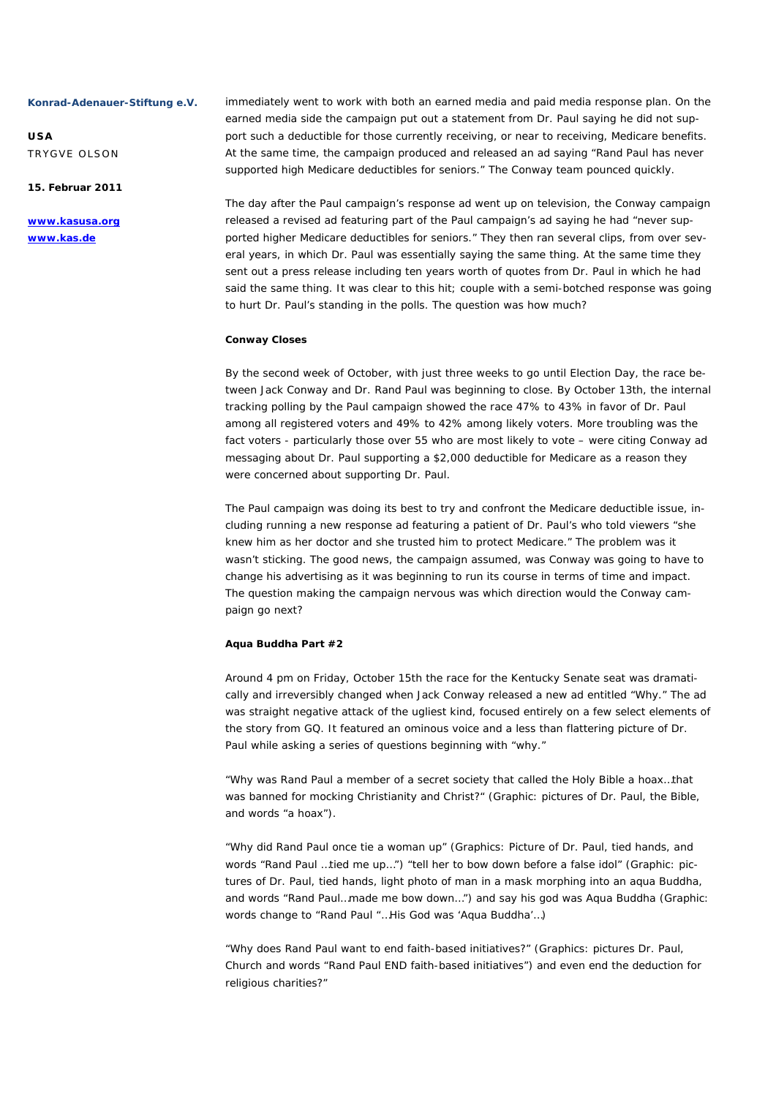**USA**  TRYGVE OLSON

**15. Februar 2011** 

**www.kasusa.org www.kas.de** 

immediately went to work with both an earned media and paid media response plan. On the earned media side the campaign put out a statement from Dr. Paul saying he did not support such a deductible for those currently receiving, or near to receiving, Medicare benefits. At the same time, the campaign produced and released an ad saying "Rand Paul has never supported high Medicare deductibles for seniors." The Conway team pounced quickly.

The day after the Paul campaign's response ad went up on television, the Conway campaign released a revised ad featuring part of the Paul campaign's ad saying he had "never supported higher Medicare deductibles for seniors." They then ran several clips, from over several years, in which Dr. Paul was essentially saying the same thing. At the same time they sent out a press release including ten years worth of quotes from Dr. Paul in which he had said the same thing. It was clear to this hit; couple with a semi-botched response was going to hurt Dr. Paul's standing in the polls. The question was how much?

#### **Conway Closes**

By the second week of October, with just three weeks to go until Election Day, the race between Jack Conway and Dr. Rand Paul was beginning to close. By October 13th, the internal tracking polling by the Paul campaign showed the race 47% to 43% in favor of Dr. Paul among all registered voters and 49% to 42% among likely voters. More troubling was the fact voters - particularly those over 55 who are most likely to vote – were citing Conway ad messaging about Dr. Paul supporting a \$2,000 deductible for Medicare as a reason they were concerned about supporting Dr. Paul.

The Paul campaign was doing its best to try and confront the Medicare deductible issue, including running a new response ad featuring a patient of Dr. Paul's who told viewers "she knew him as her doctor and she trusted him to protect Medicare." The problem was it wasn't sticking. The good news, the campaign assumed, was Conway was going to have to change his advertising as it was beginning to run its course in terms of time and impact. The question making the campaign nervous was which direction would the Conway campaign go next?

#### **Aqua Buddha Part #2**

Around 4 pm on Friday, October 15th the race for the Kentucky Senate seat was dramatically and irreversibly changed when Jack Conway released a new ad entitled "Why." The ad was straight negative attack of the ugliest kind, focused entirely on a few select elements of the story from GQ. It featured an ominous voice and a less than flattering picture of Dr. Paul while asking a series of questions beginning with "why."

"Why was Rand Paul a member of a secret society that called the Holy Bible a hoax…that was banned for mocking Christianity and Christ?" (Graphic: pictures of Dr. Paul, the Bible, and words "a hoax").

"Why did Rand Paul once tie a woman up" (Graphics: Picture of Dr. Paul, tied hands, and words "Rand Paul …tied me up…") "tell her to bow down before a false idol" (Graphic: pictures of Dr. Paul, tied hands, light photo of man in a mask morphing into an aqua Buddha, and words "Rand Paul…made me bow down…") and say his god was Aqua Buddha (Graphic: words change to "Rand Paul "…His God was 'Aqua Buddha'…)

"Why does Rand Paul want to end faith-based initiatives?" (Graphics: pictures Dr. Paul, Church and words "Rand Paul END faith-based initiatives") and even end the deduction for religious charities?"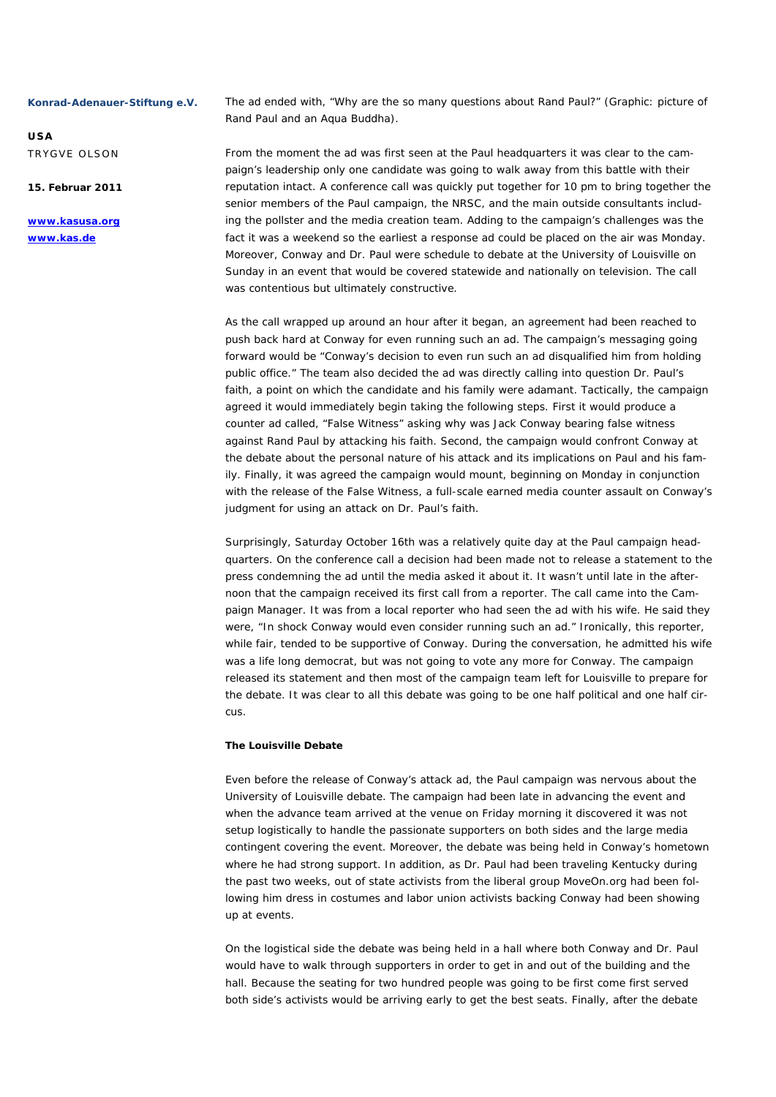**USA**  TRYGVE OLSON

**15. Februar 2011** 

**www.kasusa.org www.kas.de** 

The ad ended with, "Why are the so many questions about Rand Paul?" (Graphic: picture of Rand Paul and an Aqua Buddha).

From the moment the ad was first seen at the Paul headquarters it was clear to the campaign's leadership only one candidate was going to walk away from this battle with their reputation intact. A conference call was quickly put together for 10 pm to bring together the senior members of the Paul campaign, the NRSC, and the main outside consultants including the pollster and the media creation team. Adding to the campaign's challenges was the fact it was a weekend so the earliest a response ad could be placed on the air was Monday. Moreover, Conway and Dr. Paul were schedule to debate at the University of Louisville on Sunday in an event that would be covered statewide and nationally on television. The call was contentious but ultimately constructive.

As the call wrapped up around an hour after it began, an agreement had been reached to push back hard at Conway for even running such an ad. The campaign's messaging going forward would be "Conway's decision to even run such an ad disqualified him from holding public office." The team also decided the ad was directly calling into question Dr. Paul's faith, a point on which the candidate and his family were adamant. Tactically, the campaign agreed it would immediately begin taking the following steps. First it would produce a counter ad called, "False Witness" asking why was Jack Conway bearing false witness against Rand Paul by attacking his faith. Second, the campaign would confront Conway at the debate about the personal nature of his attack and its implications on Paul and his family. Finally, it was agreed the campaign would mount, beginning on Monday in conjunction with the release of the False Witness, a full-scale earned media counter assault on Conway's judgment for using an attack on Dr. Paul's faith.

Surprisingly, Saturday October 16th was a relatively quite day at the Paul campaign headquarters. On the conference call a decision had been made not to release a statement to the press condemning the ad until the media asked it about it. It wasn't until late in the afternoon that the campaign received its first call from a reporter. The call came into the Campaign Manager. It was from a local reporter who had seen the ad with his wife. He said they were, "In shock Conway would even consider running such an ad." Ironically, this reporter, while fair, tended to be supportive of Conway. During the conversation, he admitted his wife was a life long democrat, but was not going to vote any more for Conway. The campaign released its statement and then most of the campaign team left for Louisville to prepare for the debate. It was clear to all this debate was going to be one half political and one half circus.

#### **The Louisville Debate**

Even before the release of Conway's attack ad, the Paul campaign was nervous about the University of Louisville debate. The campaign had been late in advancing the event and when the advance team arrived at the venue on Friday morning it discovered it was not setup logistically to handle the passionate supporters on both sides and the large media contingent covering the event. Moreover, the debate was being held in Conway's hometown where he had strong support. In addition, as Dr. Paul had been traveling Kentucky during the past two weeks, out of state activists from the liberal group MoveOn.org had been following him dress in costumes and labor union activists backing Conway had been showing up at events.

On the logistical side the debate was being held in a hall where both Conway and Dr. Paul would have to walk through supporters in order to get in and out of the building and the hall. Because the seating for two hundred people was going to be first come first served both side's activists would be arriving early to get the best seats. Finally, after the debate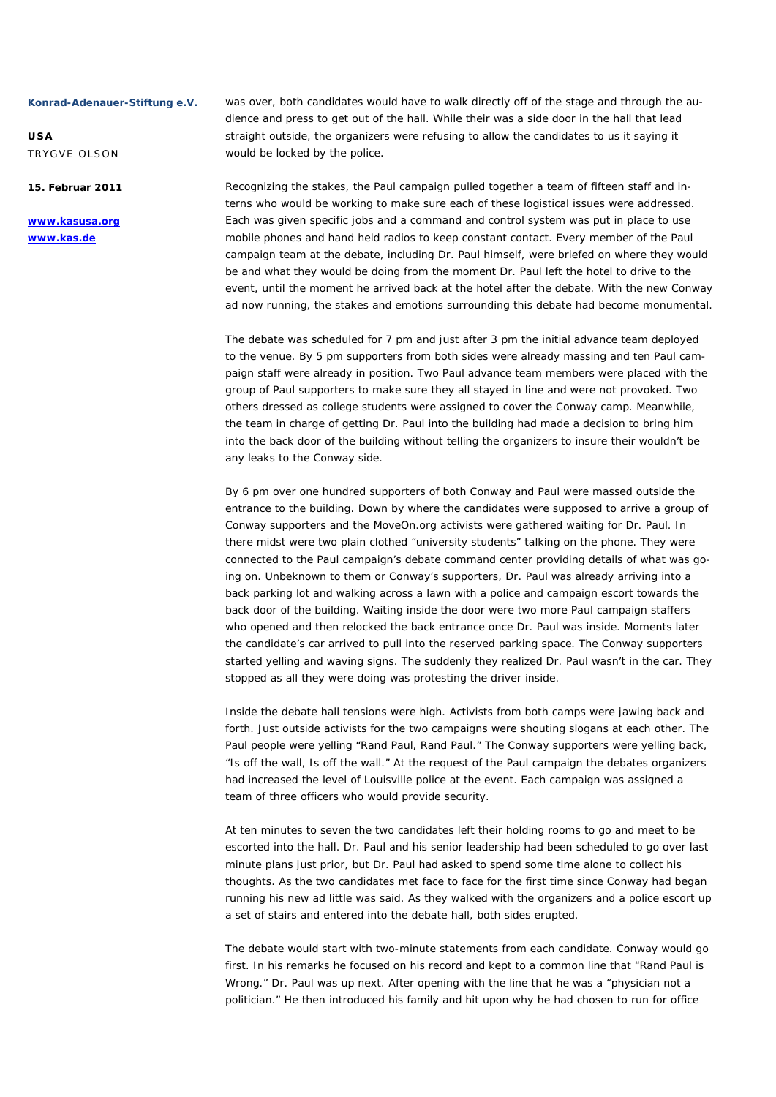**USA**  TRYGVE OLSON

**15. Februar 2011** 

**www.kasusa.org www.kas.de** 

was over, both candidates would have to walk directly off of the stage and through the audience and press to get out of the hall. While their was a side door in the hall that lead straight outside, the organizers were refusing to allow the candidates to us it saying it would be locked by the police.

Recognizing the stakes, the Paul campaign pulled together a team of fifteen staff and interns who would be working to make sure each of these logistical issues were addressed. Each was given specific jobs and a command and control system was put in place to use mobile phones and hand held radios to keep constant contact. Every member of the Paul campaign team at the debate, including Dr. Paul himself, were briefed on where they would be and what they would be doing from the moment Dr. Paul left the hotel to drive to the event, until the moment he arrived back at the hotel after the debate. With the new Conway ad now running, the stakes and emotions surrounding this debate had become monumental.

The debate was scheduled for 7 pm and just after 3 pm the initial advance team deployed to the venue. By 5 pm supporters from both sides were already massing and ten Paul campaign staff were already in position. Two Paul advance team members were placed with the group of Paul supporters to make sure they all stayed in line and were not provoked. Two others dressed as college students were assigned to cover the Conway camp. Meanwhile, the team in charge of getting Dr. Paul into the building had made a decision to bring him into the back door of the building without telling the organizers to insure their wouldn't be any leaks to the Conway side.

By 6 pm over one hundred supporters of both Conway and Paul were massed outside the entrance to the building. Down by where the candidates were supposed to arrive a group of Conway supporters and the MoveOn.org activists were gathered waiting for Dr. Paul. In there midst were two plain clothed "university students" talking on the phone. They were connected to the Paul campaign's debate command center providing details of what was going on. Unbeknown to them or Conway's supporters, Dr. Paul was already arriving into a back parking lot and walking across a lawn with a police and campaign escort towards the back door of the building. Waiting inside the door were two more Paul campaign staffers who opened and then relocked the back entrance once Dr. Paul was inside. Moments later the candidate's car arrived to pull into the reserved parking space. The Conway supporters started yelling and waving signs. The suddenly they realized Dr. Paul wasn't in the car. They stopped as all they were doing was protesting the driver inside.

Inside the debate hall tensions were high. Activists from both camps were jawing back and forth. Just outside activists for the two campaigns were shouting slogans at each other. The Paul people were yelling "Rand Paul, Rand Paul." The Conway supporters were yelling back, "Is off the wall, Is off the wall." At the request of the Paul campaign the debates organizers had increased the level of Louisville police at the event. Each campaign was assigned a team of three officers who would provide security.

At ten minutes to seven the two candidates left their holding rooms to go and meet to be escorted into the hall. Dr. Paul and his senior leadership had been scheduled to go over last minute plans just prior, but Dr. Paul had asked to spend some time alone to collect his thoughts. As the two candidates met face to face for the first time since Conway had began running his new ad little was said. As they walked with the organizers and a police escort up a set of stairs and entered into the debate hall, both sides erupted.

The debate would start with two-minute statements from each candidate. Conway would go first. In his remarks he focused on his record and kept to a common line that "Rand Paul is Wrong." Dr. Paul was up next. After opening with the line that he was a "physician not a politician." He then introduced his family and hit upon why he had chosen to run for office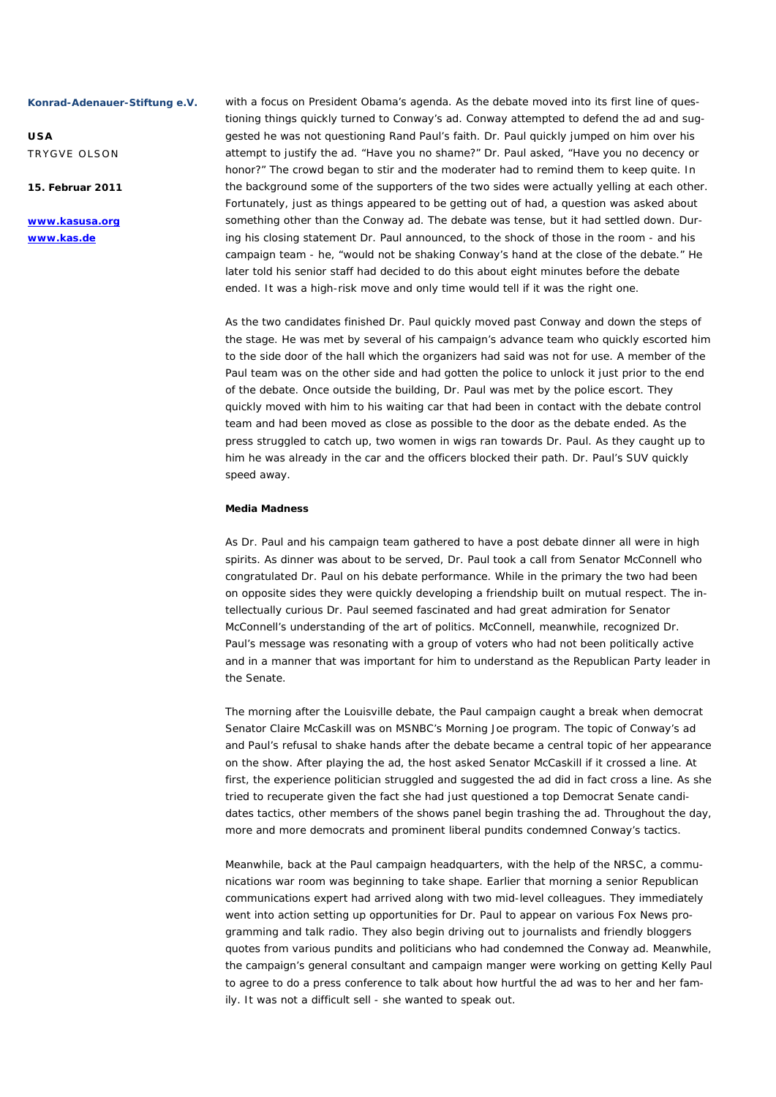**USA**  TRYGVE OLSON

**15. Februar 2011** 

**www.kasusa.org www.kas.de** 

with a focus on President Obama's agenda. As the debate moved into its first line of questioning things quickly turned to Conway's ad. Conway attempted to defend the ad and suggested he was not questioning Rand Paul's faith. Dr. Paul quickly jumped on him over his attempt to justify the ad. "Have you no shame?" Dr. Paul asked, "Have you no decency or honor?" The crowd began to stir and the moderater had to remind them to keep quite. In the background some of the supporters of the two sides were actually yelling at each other. Fortunately, just as things appeared to be getting out of had, a question was asked about something other than the Conway ad. The debate was tense, but it had settled down. During his closing statement Dr. Paul announced, to the shock of those in the room - and his campaign team - he, "would not be shaking Conway's hand at the close of the debate." He later told his senior staff had decided to do this about eight minutes before the debate ended. It was a high-risk move and only time would tell if it was the right one.

As the two candidates finished Dr. Paul quickly moved past Conway and down the steps of the stage. He was met by several of his campaign's advance team who quickly escorted him to the side door of the hall which the organizers had said was not for use. A member of the Paul team was on the other side and had gotten the police to unlock it just prior to the end of the debate. Once outside the building, Dr. Paul was met by the police escort. They quickly moved with him to his waiting car that had been in contact with the debate control team and had been moved as close as possible to the door as the debate ended. As the press struggled to catch up, two women in wigs ran towards Dr. Paul. As they caught up to him he was already in the car and the officers blocked their path. Dr. Paul's SUV quickly speed away.

# **Media Madness**

As Dr. Paul and his campaign team gathered to have a post debate dinner all were in high spirits. As dinner was about to be served, Dr. Paul took a call from Senator McConnell who congratulated Dr. Paul on his debate performance. While in the primary the two had been on opposite sides they were quickly developing a friendship built on mutual respect. The intellectually curious Dr. Paul seemed fascinated and had great admiration for Senator McConnell's understanding of the art of politics. McConnell, meanwhile, recognized Dr. Paul's message was resonating with a group of voters who had not been politically active and in a manner that was important for him to understand as the Republican Party leader in the Senate.

The morning after the Louisville debate, the Paul campaign caught a break when democrat Senator Claire McCaskill was on MSNBC's Morning Joe program. The topic of Conway's ad and Paul's refusal to shake hands after the debate became a central topic of her appearance on the show. After playing the ad, the host asked Senator McCaskill if it crossed a line. At first, the experience politician struggled and suggested the ad did in fact cross a line. As she tried to recuperate given the fact she had just questioned a top Democrat Senate candidates tactics, other members of the shows panel begin trashing the ad. Throughout the day, more and more democrats and prominent liberal pundits condemned Conway's tactics.

Meanwhile, back at the Paul campaign headquarters, with the help of the NRSC, a communications war room was beginning to take shape. Earlier that morning a senior Republican communications expert had arrived along with two mid-level colleagues. They immediately went into action setting up opportunities for Dr. Paul to appear on various Fox News programming and talk radio. They also begin driving out to journalists and friendly bloggers quotes from various pundits and politicians who had condemned the Conway ad. Meanwhile, the campaign's general consultant and campaign manger were working on getting Kelly Paul to agree to do a press conference to talk about how hurtful the ad was to her and her family. It was not a difficult sell - she wanted to speak out.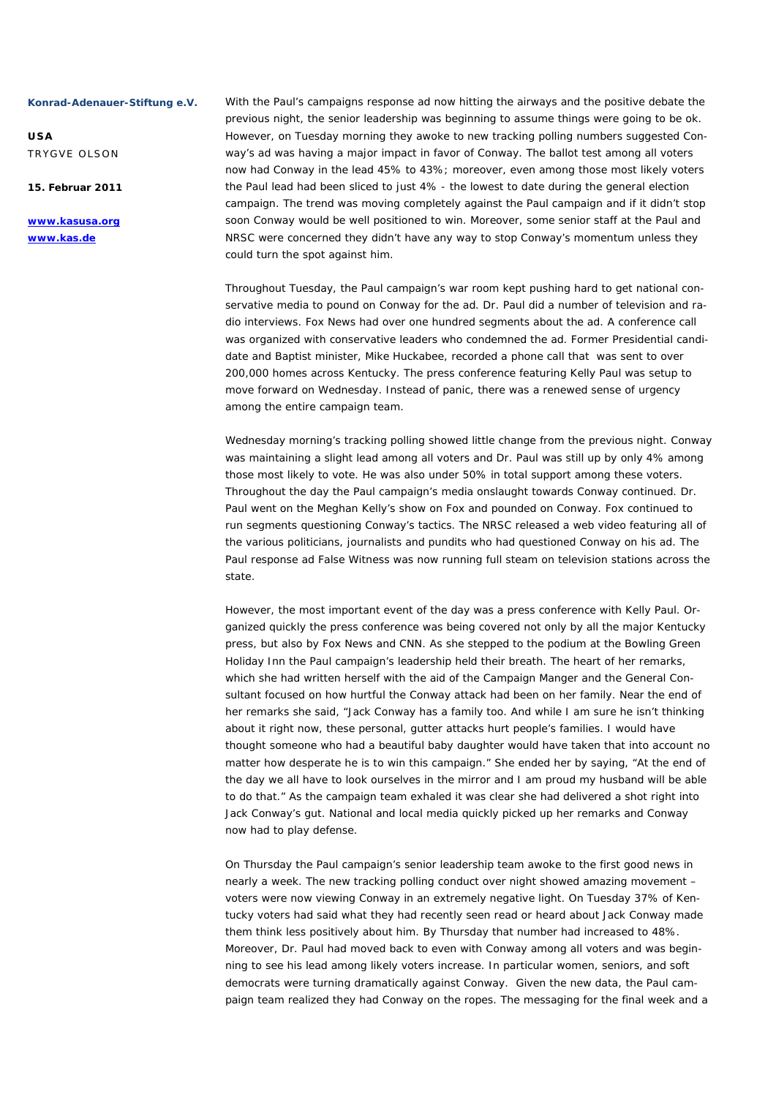**USA**  TRYGVE OLSON

**15. Februar 2011** 

**www.kasusa.org www.kas.de** 

With the Paul's campaigns response ad now hitting the airways and the positive debate the previous night, the senior leadership was beginning to assume things were going to be ok. However, on Tuesday morning they awoke to new tracking polling numbers suggested Conway's ad was having a major impact in favor of Conway. The ballot test among all voters now had Conway in the lead 45% to 43%; moreover, even among those most likely voters the Paul lead had been sliced to just 4% - the lowest to date during the general election campaign. The trend was moving completely against the Paul campaign and if it didn't stop soon Conway would be well positioned to win. Moreover, some senior staff at the Paul and NRSC were concerned they didn't have any way to stop Conway's momentum unless they could turn the spot against him.

Throughout Tuesday, the Paul campaign's war room kept pushing hard to get national conservative media to pound on Conway for the ad. Dr. Paul did a number of television and radio interviews. Fox News had over one hundred segments about the ad. A conference call was organized with conservative leaders who condemned the ad. Former Presidential candidate and Baptist minister, Mike Huckabee, recorded a phone call that was sent to over 200,000 homes across Kentucky. The press conference featuring Kelly Paul was setup to move forward on Wednesday. Instead of panic, there was a renewed sense of urgency among the entire campaign team.

Wednesday morning's tracking polling showed little change from the previous night. Conway was maintaining a slight lead among all voters and Dr. Paul was still up by only 4% among those most likely to vote. He was also under 50% in total support among these voters. Throughout the day the Paul campaign's media onslaught towards Conway continued. Dr. Paul went on the Meghan Kelly's show on Fox and pounded on Conway. Fox continued to run segments questioning Conway's tactics. The NRSC released a web video featuring all of the various politicians, journalists and pundits who had questioned Conway on his ad. The Paul response ad False Witness was now running full steam on television stations across the state.

However, the most important event of the day was a press conference with Kelly Paul. Organized quickly the press conference was being covered not only by all the major Kentucky press, but also by Fox News and CNN. As she stepped to the podium at the Bowling Green Holiday Inn the Paul campaign's leadership held their breath. The heart of her remarks, which she had written herself with the aid of the Campaign Manger and the General Consultant focused on how hurtful the Conway attack had been on her family. Near the end of her remarks she said, "Jack Conway has a family too. And while I am sure he isn't thinking about it right now, these personal, gutter attacks hurt people's families. I would have thought someone who had a beautiful baby daughter would have taken that into account no matter how desperate he is to win this campaign." She ended her by saying, "At the end of the day we all have to look ourselves in the mirror and I am proud my husband will be able to do that." As the campaign team exhaled it was clear she had delivered a shot right into Jack Conway's gut. National and local media quickly picked up her remarks and Conway now had to play defense.

On Thursday the Paul campaign's senior leadership team awoke to the first good news in nearly a week. The new tracking polling conduct over night showed amazing movement – voters were now viewing Conway in an extremely negative light. On Tuesday 37% of Kentucky voters had said what they had recently seen read or heard about Jack Conway made them think less positively about him. By Thursday that number had increased to 48%. Moreover, Dr. Paul had moved back to even with Conway among all voters and was beginning to see his lead among likely voters increase. In particular women, seniors, and soft democrats were turning dramatically against Conway. Given the new data, the Paul campaign team realized they had Conway on the ropes. The messaging for the final week and a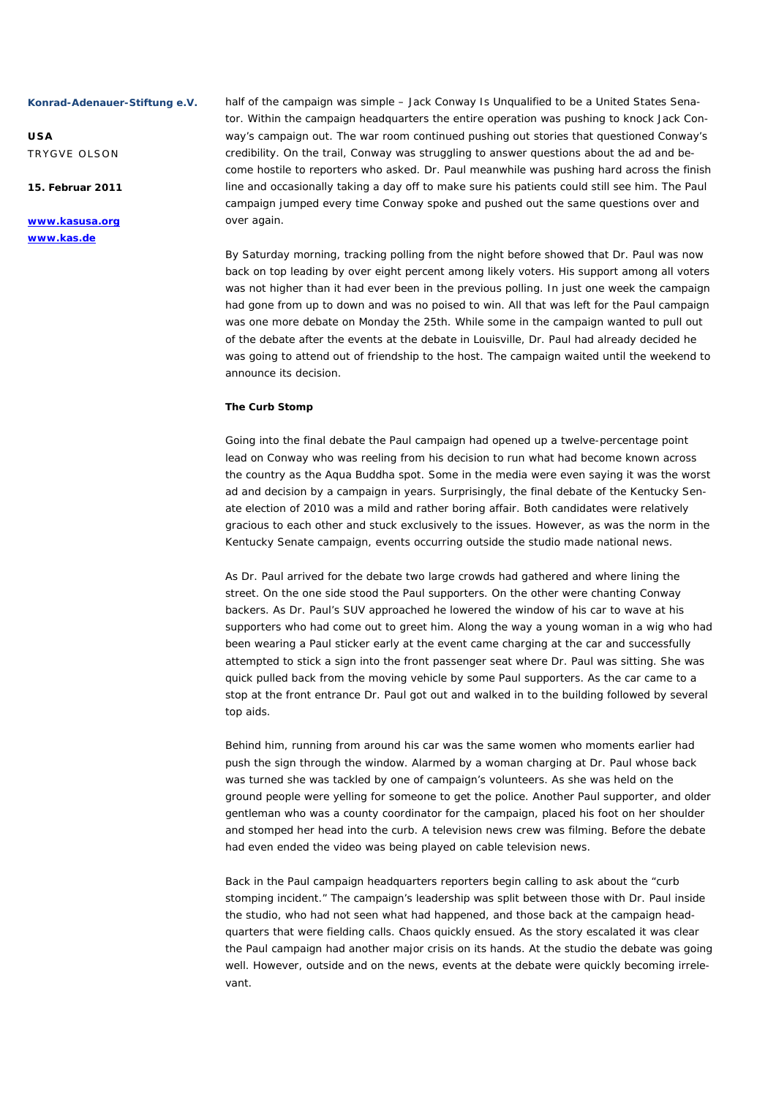**USA**  TRYGVE OLSON

**15. Februar 2011** 

# **www.kasusa.org www.kas.de**

half of the campaign was simple - Jack Conway Is Unqualified to be a United States Senator. Within the campaign headquarters the entire operation was pushing to knock Jack Conway's campaign out. The war room continued pushing out stories that questioned Conway's credibility. On the trail, Conway was struggling to answer questions about the ad and become hostile to reporters who asked. Dr. Paul meanwhile was pushing hard across the finish line and occasionally taking a day off to make sure his patients could still see him. The Paul campaign jumped every time Conway spoke and pushed out the same questions over and over again.

By Saturday morning, tracking polling from the night before showed that Dr. Paul was now back on top leading by over eight percent among likely voters. His support among all voters was not higher than it had ever been in the previous polling. In just one week the campaign had gone from up to down and was no poised to win. All that was left for the Paul campaign was one more debate on Monday the 25th. While some in the campaign wanted to pull out of the debate after the events at the debate in Louisville, Dr. Paul had already decided he was going to attend out of friendship to the host. The campaign waited until the weekend to announce its decision.

### **The Curb Stomp**

Going into the final debate the Paul campaign had opened up a twelve-percentage point lead on Conway who was reeling from his decision to run what had become known across the country as the Aqua Buddha spot. Some in the media were even saying it was the worst ad and decision by a campaign in years. Surprisingly, the final debate of the Kentucky Senate election of 2010 was a mild and rather boring affair. Both candidates were relatively gracious to each other and stuck exclusively to the issues. However, as was the norm in the Kentucky Senate campaign, events occurring outside the studio made national news.

As Dr. Paul arrived for the debate two large crowds had gathered and where lining the street. On the one side stood the Paul supporters. On the other were chanting Conway backers. As Dr. Paul's SUV approached he lowered the window of his car to wave at his supporters who had come out to greet him. Along the way a young woman in a wig who had been wearing a Paul sticker early at the event came charging at the car and successfully attempted to stick a sign into the front passenger seat where Dr. Paul was sitting. She was quick pulled back from the moving vehicle by some Paul supporters. As the car came to a stop at the front entrance Dr. Paul got out and walked in to the building followed by several top aids.

Behind him, running from around his car was the same women who moments earlier had push the sign through the window. Alarmed by a woman charging at Dr. Paul whose back was turned she was tackled by one of campaign's volunteers. As she was held on the ground people were yelling for someone to get the police. Another Paul supporter, and older gentleman who was a county coordinator for the campaign, placed his foot on her shoulder and stomped her head into the curb. A television news crew was filming. Before the debate had even ended the video was being played on cable television news.

Back in the Paul campaign headquarters reporters begin calling to ask about the "curb stomping incident." The campaign's leadership was split between those with Dr. Paul inside the studio, who had not seen what had happened, and those back at the campaign headquarters that were fielding calls. Chaos quickly ensued. As the story escalated it was clear the Paul campaign had another major crisis on its hands. At the studio the debate was going well. However, outside and on the news, events at the debate were quickly becoming irrelevant.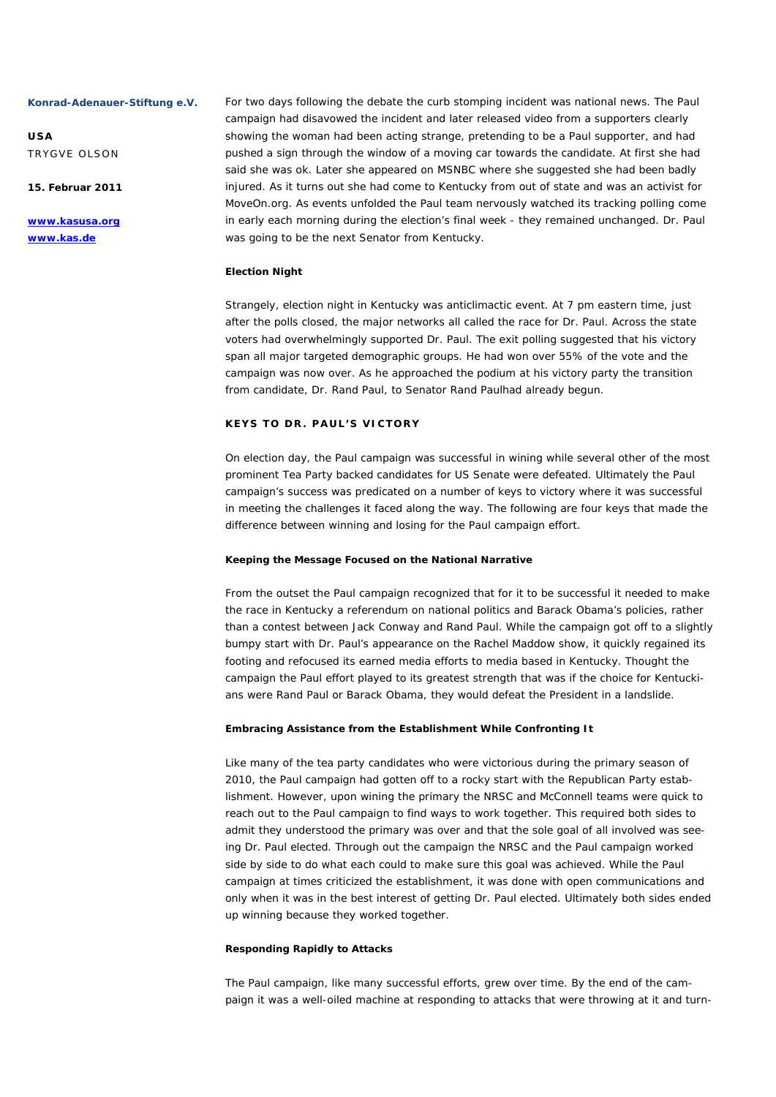**USA**  TRYGVE OLSON

**15. Februar 2011** 

**www.kasusa.org www.kas.de** 

For two days following the debate the curb stomping incident was national news. The Paul campaign had disavowed the incident and later released video from a supporters clearly showing the woman had been acting strange, pretending to be a Paul supporter, and had pushed a sign through the window of a moving car towards the candidate. At first she had said she was ok. Later she appeared on MSNBC where she suggested she had been badly injured. As it turns out she had come to Kentucky from out of state and was an activist for MoveOn.org. As events unfolded the Paul team nervously watched its tracking polling come in early each morning during the election's final week - they remained unchanged. Dr. Paul was going to be the next Senator from Kentucky.

#### **Election Night**

Strangely, election night in Kentucky was anticlimactic event. At 7 pm eastern time, just after the polls closed, the major networks all called the race for Dr. Paul. Across the state voters had overwhelmingly supported Dr. Paul. The exit polling suggested that his victory span all major targeted demographic groups. He had won over 55% of the vote and the campaign was now over. As he approached the podium at his victory party the transition from candidate, Dr. Rand Paul, to Senator Rand Paulhad already begun.

# **KEYS TO DR. PAUL'S VICTORY**

On election day, the Paul campaign was successful in wining while several other of the most prominent Tea Party backed candidates for US Senate were defeated. Ultimately the Paul campaign's success was predicated on a number of keys to victory where it was successful in meeting the challenges it faced along the way. The following are four keys that made the difference between winning and losing for the Paul campaign effort.

#### **Keeping the Message Focused on the National Narrative**

From the outset the Paul campaign recognized that for it to be successful it needed to make the race in Kentucky a referendum on national politics and Barack Obama's policies, rather than a contest between Jack Conway and Rand Paul. While the campaign got off to a slightly bumpy start with Dr. Paul's appearance on the Rachel Maddow show, it quickly regained its footing and refocused its earned media efforts to media based in Kentucky. Thought the campaign the Paul effort played to its greatest strength that was if the choice for Kentuckians were Rand Paul or Barack Obama, they would defeat the President in a landslide.

#### **Embracing Assistance from the Establishment While Confronting It**

Like many of the tea party candidates who were victorious during the primary season of 2010, the Paul campaign had gotten off to a rocky start with the Republican Party establishment. However, upon wining the primary the NRSC and McConnell teams were quick to reach out to the Paul campaign to find ways to work together. This required both sides to admit they understood the primary was over and that the sole goal of all involved was seeing Dr. Paul elected. Through out the campaign the NRSC and the Paul campaign worked side by side to do what each could to make sure this goal was achieved. While the Paul campaign at times criticized the establishment, it was done with open communications and only when it was in the best interest of getting Dr. Paul elected. Ultimately both sides ended up winning because they worked together.

#### **Responding Rapidly to Attacks**

The Paul campaign, like many successful efforts, grew over time. By the end of the campaign it was a well-oiled machine at responding to attacks that were throwing at it and turn-